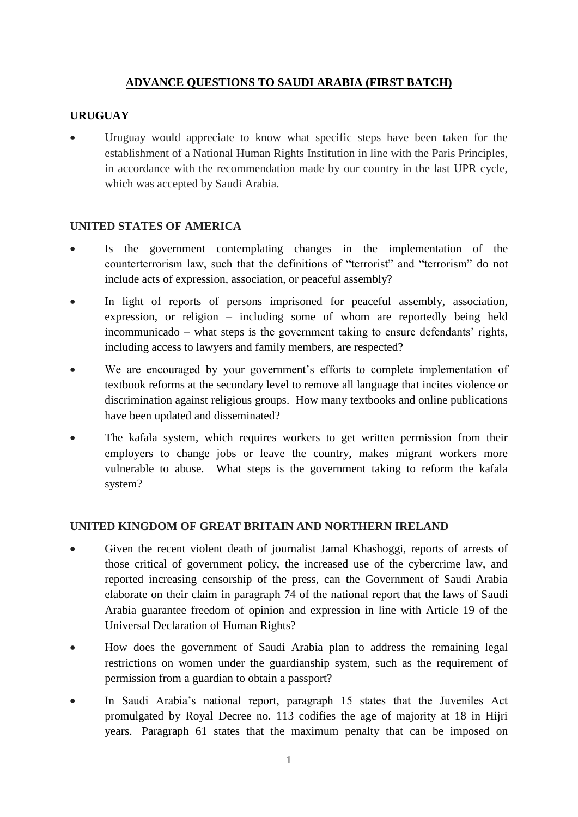# **ADVANCE QUESTIONS TO SAUDI ARABIA (FIRST BATCH)**

### **URUGUAY**

Uruguay would appreciate to know what specific steps have been taken for the establishment of a National Human Rights Institution in line with the Paris Principles, in accordance with the recommendation made by our country in the last UPR cycle, which was accepted by Saudi Arabia.

#### **UNITED STATES OF AMERICA**

- Is the government contemplating changes in the implementation of the counterterrorism law, such that the definitions of "terrorist" and "terrorism" do not include acts of expression, association, or peaceful assembly?
- In light of reports of persons imprisoned for peaceful assembly, association, expression, or religion – including some of whom are reportedly being held incommunicado – what steps is the government taking to ensure defendants' rights, including access to lawyers and family members, are respected?
- We are encouraged by your government's efforts to complete implementation of textbook reforms at the secondary level to remove all language that incites violence or discrimination against religious groups. How many textbooks and online publications have been updated and disseminated?
- The kafala system, which requires workers to get written permission from their employers to change jobs or leave the country, makes migrant workers more vulnerable to abuse. What steps is the government taking to reform the kafala system?

#### **UNITED KINGDOM OF GREAT BRITAIN AND NORTHERN IRELAND**

- Given the recent violent death of journalist Jamal Khashoggi, reports of arrests of those critical of government policy, the increased use of the cybercrime law, and reported increasing censorship of the press, can the Government of Saudi Arabia elaborate on their claim in paragraph 74 of the national report that the laws of Saudi Arabia guarantee freedom of opinion and expression in line with Article 19 of the Universal Declaration of Human Rights?
- How does the government of Saudi Arabia plan to address the remaining legal restrictions on women under the guardianship system, such as the requirement of permission from a guardian to obtain a passport?
- In Saudi Arabia's national report, paragraph 15 states that the Juveniles Act promulgated by Royal Decree no. 113 codifies the age of majority at 18 in Hijri years. Paragraph 61 states that the maximum penalty that can be imposed on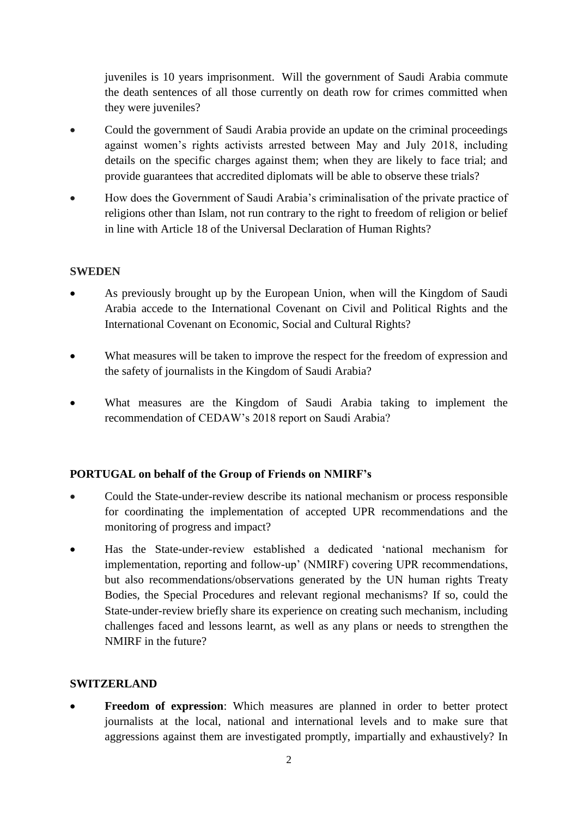juveniles is 10 years imprisonment. Will the government of Saudi Arabia commute the death sentences of all those currently on death row for crimes committed when they were juveniles?

- Could the government of Saudi Arabia provide an update on the criminal proceedings against women's rights activists arrested between May and July 2018, including details on the specific charges against them; when they are likely to face trial; and provide guarantees that accredited diplomats will be able to observe these trials?
- How does the Government of Saudi Arabia's criminalisation of the private practice of religions other than Islam, not run contrary to the right to freedom of religion or belief in line with Article 18 of the Universal Declaration of Human Rights?

#### **SWEDEN**

- As previously brought up by the European Union, when will the Kingdom of Saudi Arabia accede to the International Covenant on Civil and Political Rights and the International Covenant on Economic, Social and Cultural Rights?
- What measures will be taken to improve the respect for the freedom of expression and the safety of journalists in the Kingdom of Saudi Arabia?
- What measures are the Kingdom of Saudi Arabia taking to implement the recommendation of CEDAW's 2018 report on Saudi Arabia?

#### **PORTUGAL on behalf of the Group of Friends on NMIRF's**

- Could the State-under-review describe its national mechanism or process responsible for coordinating the implementation of accepted UPR recommendations and the monitoring of progress and impact?
- Has the State-under-review established a dedicated 'national mechanism for implementation, reporting and follow-up' (NMIRF) covering UPR recommendations, but also recommendations/observations generated by the UN human rights Treaty Bodies, the Special Procedures and relevant regional mechanisms? If so, could the State-under-review briefly share its experience on creating such mechanism, including challenges faced and lessons learnt, as well as any plans or needs to strengthen the NMIRF in the future?

#### **SWITZERLAND**

**Freedom of expression**: Which measures are planned in order to better protect journalists at the local, national and international levels and to make sure that aggressions against them are investigated promptly, impartially and exhaustively? In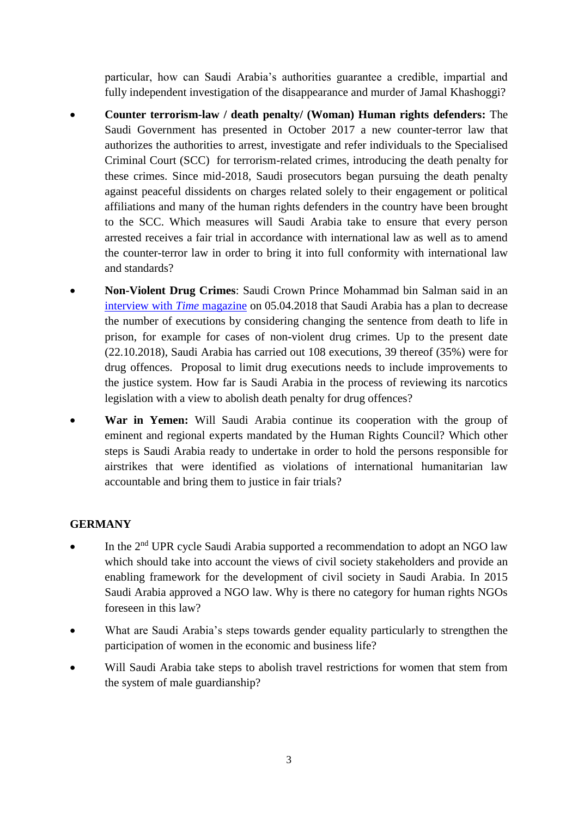particular, how can Saudi Arabia's authorities guarantee a credible, impartial and fully independent investigation of the disappearance and murder of Jamal Khashoggi?

- **Counter terrorism-law / death penalty/ (Woman) Human rights defenders:** The Saudi Government has presented in October 2017 a new counter-terror law that authorizes the authorities to arrest, investigate and refer individuals to the Specialised Criminal Court (SCC) for terrorism-related crimes, introducing the death penalty for these crimes. Since mid-2018, Saudi prosecutors began pursuing the death penalty against peaceful dissidents on charges related solely to their engagement or political affiliations and many of the human rights defenders in the country have been brought to the SCC. Which measures will Saudi Arabia take to ensure that every person arrested receives a fair trial in accordance with international law as well as to amend the counter-terror law in order to bring it into full conformity with international law and standards?
- **Non-Violent Drug Crimes**: Saudi Crown Prince Mohammad bin Salman said in an [interview with](http://time.com/5228006/mohammed-bin-salman-interview-transcript-full/) *Time* magazine on 05.04.2018 that Saudi Arabia has a plan to decrease the number of executions by considering changing the sentence from death to life in prison, for example for cases of non-violent drug crimes. Up to the present date (22.10.2018), Saudi Arabia has carried out 108 executions, 39 thereof (35%) were for drug offences. Proposal to limit drug executions needs to include improvements to the justice system. How far is Saudi Arabia in the process of reviewing its narcotics legislation with a view to abolish death penalty for drug offences?
- **War in Yemen:** Will Saudi Arabia continue its cooperation with the group of eminent and regional experts mandated by the Human Rights Council? Which other steps is Saudi Arabia ready to undertake in order to hold the persons responsible for airstrikes that were identified as violations of international humanitarian law accountable and bring them to justice in fair trials?

# **GERMANY**

- In the 2<sup>nd</sup> UPR cycle Saudi Arabia supported a recommendation to adopt an NGO law which should take into account the views of civil society stakeholders and provide an enabling framework for the development of civil society in Saudi Arabia. In 2015 Saudi Arabia approved a NGO law. Why is there no category for human rights NGOs foreseen in this law?
- What are Saudi Arabia's steps towards gender equality particularly to strengthen the participation of women in the economic and business life?
- Will Saudi Arabia take steps to abolish travel restrictions for women that stem from the system of male guardianship?